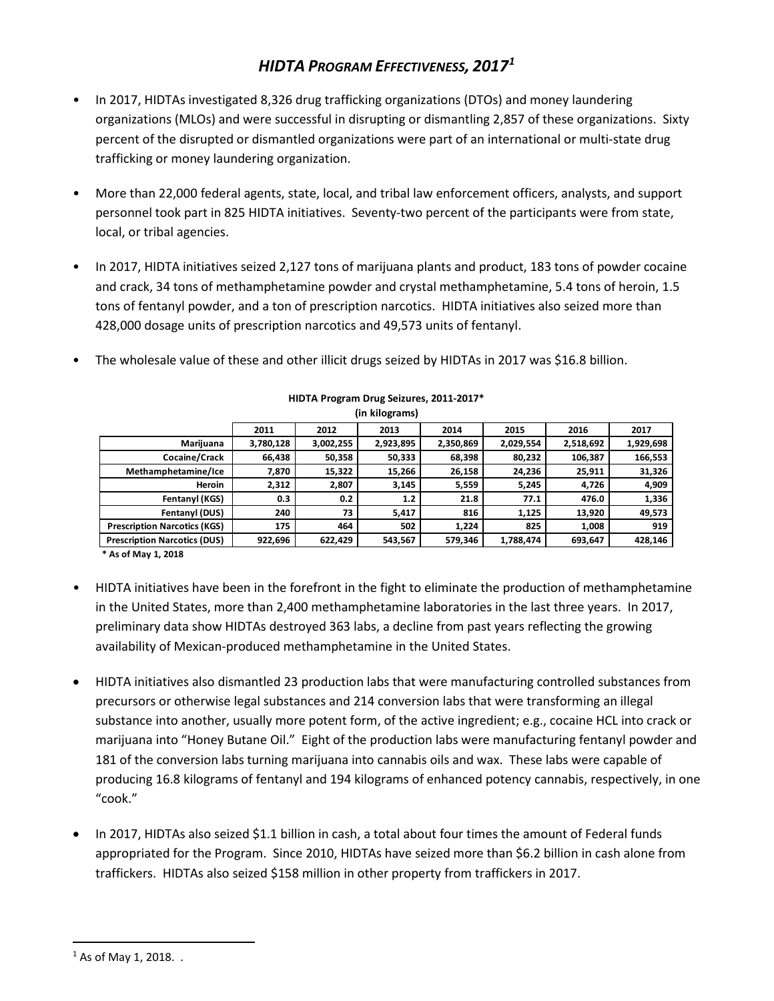## *HIDTA PROGRAM EFFECTIVENESS, 2017[1](#page-0-0)*

- In 2017, HIDTAs investigated 8,326 drug trafficking organizations (DTOs) and money laundering organizations (MLOs) and were successful in disrupting or dismantling 2,857 of these organizations. Sixty percent of the disrupted or dismantled organizations were part of an international or multi-state drug trafficking or money laundering organization.
- More than 22,000 federal agents, state, local, and tribal law enforcement officers, analysts, and support personnel took part in 825 HIDTA initiatives. Seventy-two percent of the participants were from state, local, or tribal agencies.
- In 2017, HIDTA initiatives seized 2,127 tons of marijuana plants and product, 183 tons of powder cocaine and crack, 34 tons of methamphetamine powder and crystal methamphetamine, 5.4 tons of heroin, 1.5 tons of fentanyl powder, and a ton of prescription narcotics. HIDTA initiatives also seized more than 428,000 dosage units of prescription narcotics and 49,573 units of fentanyl.
- The wholesale value of these and other illicit drugs seized by HIDTAs in 2017 was \$16.8 billion.

|                                     | 2011      | 2012      | 2013      | 2014      | 2015      | 2016      | 2017      |
|-------------------------------------|-----------|-----------|-----------|-----------|-----------|-----------|-----------|
| Marijuana                           | 3,780,128 | 3,002,255 | 2,923,895 | 2,350,869 | 2,029,554 | 2,518,692 | 1,929,698 |
| Cocaine/Crack                       | 66,438    | 50,358    | 50,333    | 68,398    | 80,232    | 106,387   | 166,553   |
| Methamphetamine/Ice                 | 7,870     | 15,322    | 15,266    | 26,158    | 24,236    | 25,911    | 31,326    |
| <b>Heroin</b>                       | 2,312     | 2,807     | 3,145     | 5,559     | 5,245     | 4,726     | 4,909     |
| Fentanyl (KGS)                      | 0.3       | 0.2       | 1.2       | 21.8      | 77.1      | 476.0     | 1,336     |
| Fentanyl (DUS)                      | 240       | 73        | 5,417     | 816       | 1,125     | 13,920    | 49,573    |
| <b>Prescription Narcotics (KGS)</b> | 175       | 464       | 502       | 1.224     | 825       | 1.008     | 919       |
| <b>Prescription Narcotics (DUS)</b> | 922,696   | 622,429   | 543,567   | 579,346   | 1,788,474 | 693,647   | 428,146   |

## **HIDTA Program Drug Seizures, 2011-2017\* (in kilograms)**

**\* As of May 1, 2018**

- HIDTA initiatives have been in the forefront in the fight to eliminate the production of methamphetamine in the United States, more than 2,400 methamphetamine laboratories in the last three years. In 2017, preliminary data show HIDTAs destroyed 363 labs, a decline from past years reflecting the growing availability of Mexican-produced methamphetamine in the United States.
- HIDTA initiatives also dismantled 23 production labs that were manufacturing controlled substances from precursors or otherwise legal substances and 214 conversion labs that were transforming an illegal substance into another, usually more potent form, of the active ingredient; e.g., cocaine HCL into crack or marijuana into "Honey Butane Oil." Eight of the production labs were manufacturing fentanyl powder and 181 of the conversion labs turning marijuana into cannabis oils and wax. These labs were capable of producing 16.8 kilograms of fentanyl and 194 kilograms of enhanced potency cannabis, respectively, in one "cook."
- In 2017, HIDTAs also seized \$1.1 billion in cash, a total about four times the amount of Federal funds appropriated for the Program. Since 2010, HIDTAs have seized more than \$6.2 billion in cash alone from traffickers. HIDTAs also seized \$158 million in other property from traffickers in 2017.

<span id="page-0-0"></span><sup>&</sup>lt;sup>1</sup> As of May 1, 2018. .